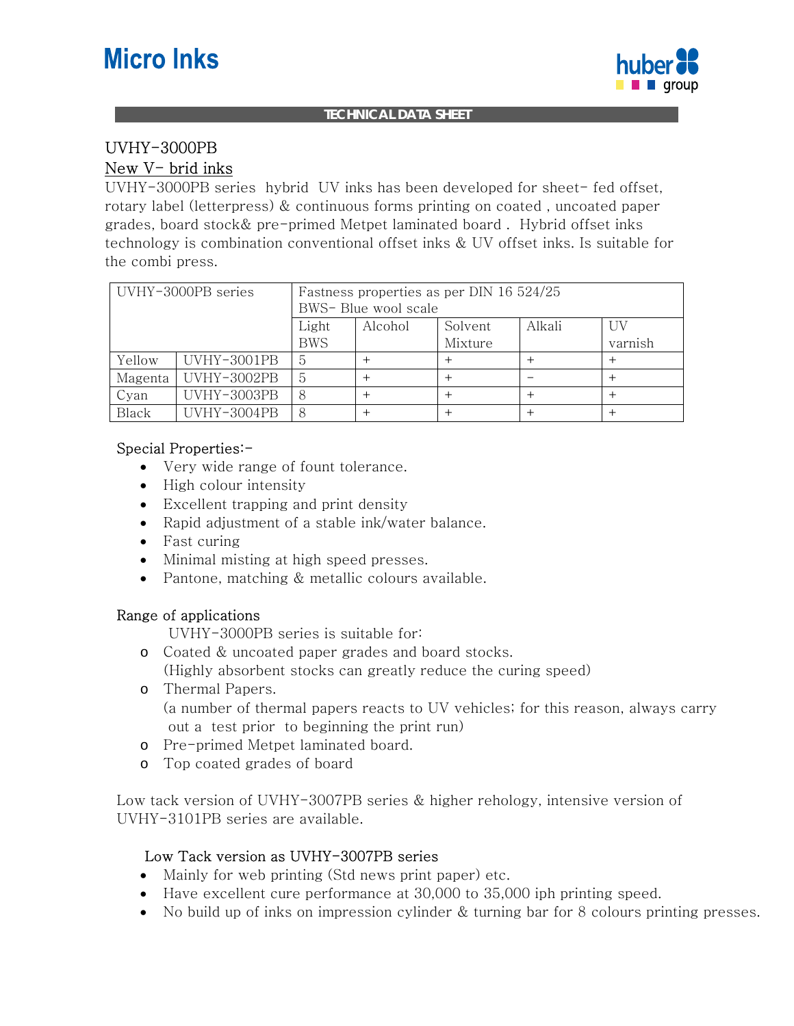# **Micro Inks**



#### **TECHNICAL DATA SHEET**

## UVHY-3000PB

#### New V- brid inks

UVHY-3000PB series hybrid UV inks has been developed for sheet- fed offset, rotary label (letterpress) & continuous forms printing on coated , uncoated paper grades, board stock& pre-primed Metpet laminated board . Hybrid offset inks technology is combination conventional offset inks & UV offset inks. Is suitable for the combi press.

| UVHY-3000PB series |             | Fastness properties as per DIN 16 524/25 |         |         |        |         |
|--------------------|-------------|------------------------------------------|---------|---------|--------|---------|
|                    |             | BWS- Blue wool scale                     |         |         |        |         |
|                    |             | Light                                    | Alcohol | Solvent | Alkali | UV      |
|                    |             | <b>BWS</b>                               |         | Mixture |        | varnish |
| Yellow             | UVHY-3001PB | 5                                        |         |         |        |         |
| Magenta            | UVHY-3002PB | 5                                        |         |         |        |         |
| Cyan               | UVHY-3003PB | 8                                        |         |         |        |         |
| Black              | UVHY-3004PB | 8                                        |         |         |        |         |

#### Special Properties:-

- Very wide range of fount tolerance.
- High colour intensity
- Excellent trapping and print density
- Rapid adjustment of a stable ink/water balance.
- Fast curing
- Minimal misting at high speed presses.
- Pantone, matching & metallic colours available.

#### Range of applications

UVHY-3000PB series is suitable for:

o Coated & uncoated paper grades and board stocks.

(Highly absorbent stocks can greatly reduce the curing speed)

- o Thermal Papers. (a number of thermal papers reacts to UV vehicles; for this reason, always carry out a test prior to beginning the print run)
- o Pre-primed Metpet laminated board.
- o Top coated grades of board

Low tack version of UVHY-3007PB series & higher rehology, intensive version of UVHY-3101PB series are available.

#### Low Tack version as UVHY-3007PB series

- Mainly for web printing (Std news print paper) etc.
- Have excellent cure performance at 30,000 to 35,000 iph printing speed.
- No build up of inks on impression cylinder & turning bar for 8 colours printing presses.